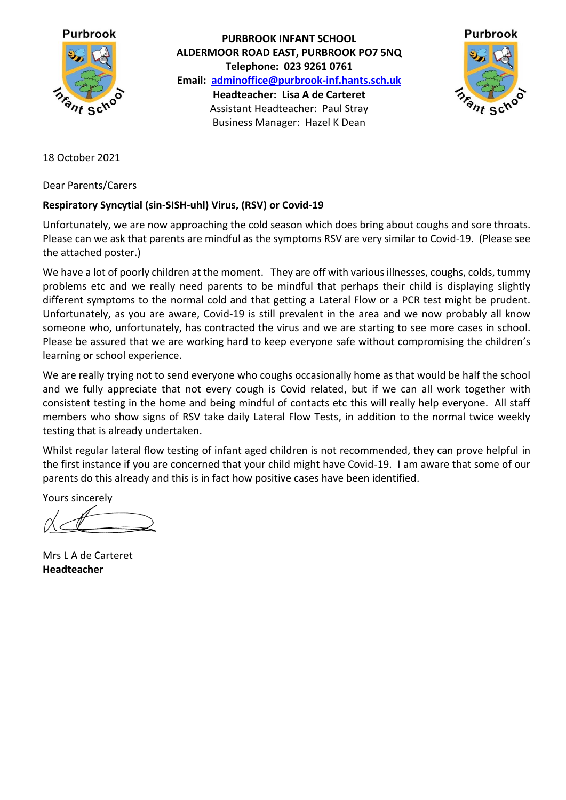

**PURBROOK INFANT SCHOOL ALDERMOOR ROAD EAST, PURBROOK PO7 5NQ Telephone: 023 9261 0761 Email: [adminoffice@purbrook-inf.hants.sch.uk](mailto:adminoffice@purbrook-inf.hants.sch.uk) Headteacher: Lisa A de Carteret** Assistant Headteacher: Paul Stray Business Manager: Hazel K Dean



18 October 2021

Dear Parents/Carers

## **Respiratory Syncytial (sin-SISH-uhl) Virus, (RSV) or Covid-19**

Unfortunately, we are now approaching the cold season which does bring about coughs and sore throats. Please can we ask that parents are mindful as the symptoms RSV are very similar to Covid-19. (Please see the attached poster.)

We have a lot of poorly children at the moment. They are off with various illnesses, coughs, colds, tummy problems etc and we really need parents to be mindful that perhaps their child is displaying slightly different symptoms to the normal cold and that getting a Lateral Flow or a PCR test might be prudent. Unfortunately, as you are aware, Covid-19 is still prevalent in the area and we now probably all know someone who, unfortunately, has contracted the virus and we are starting to see more cases in school. Please be assured that we are working hard to keep everyone safe without compromising the children's learning or school experience.

We are really trying not to send everyone who coughs occasionally home as that would be half the school and we fully appreciate that not every cough is Covid related, but if we can all work together with consistent testing in the home and being mindful of contacts etc this will really help everyone. All staff members who show signs of RSV take daily Lateral Flow Tests, in addition to the normal twice weekly testing that is already undertaken.

Whilst regular lateral flow testing of infant aged children is not recommended, they can prove helpful in the first instance if you are concerned that your child might have Covid-19. I am aware that some of our parents do this already and this is in fact how positive cases have been identified.

Yours sincerely

Mrs L A de Carteret **Headteacher**